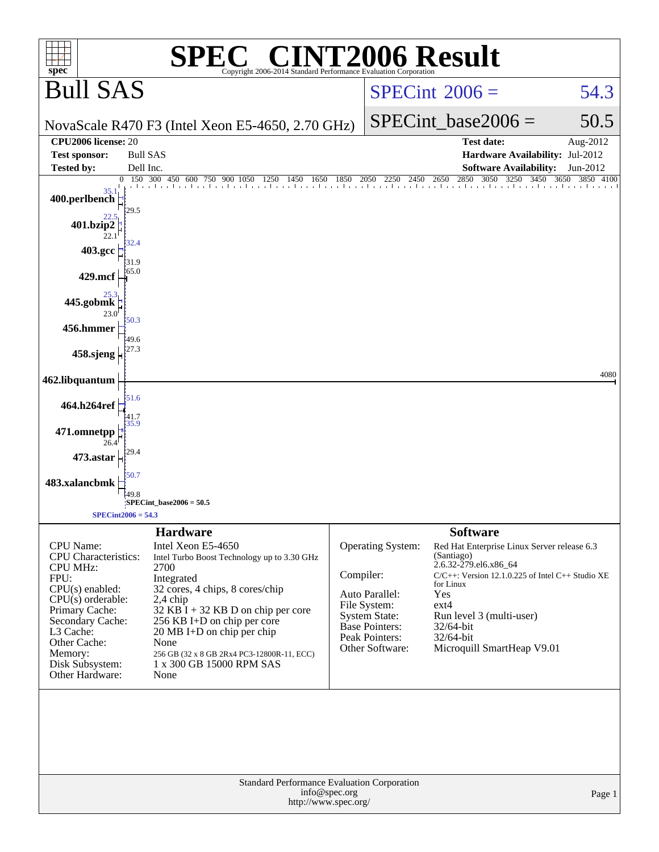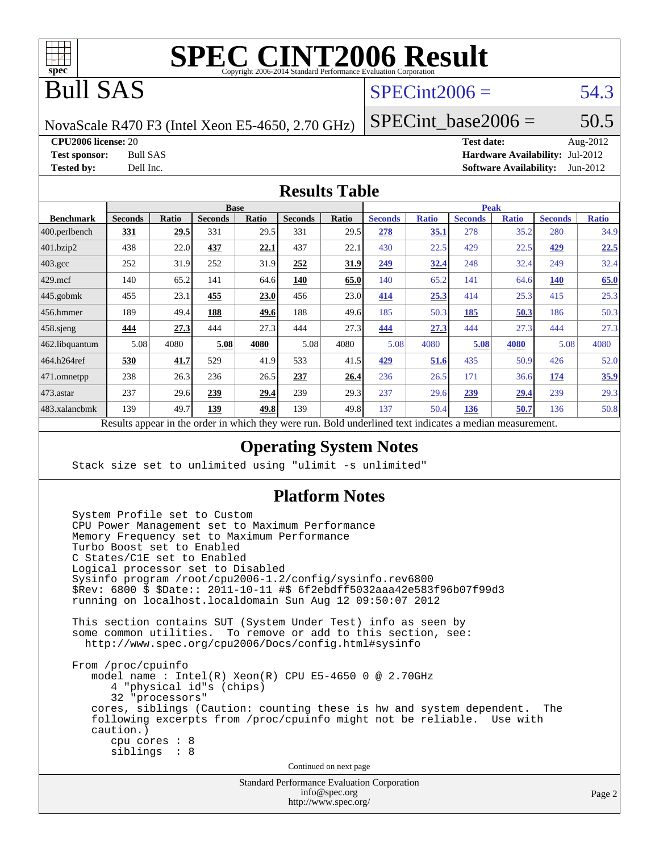

## Bull SAS

## $SPECint2006 = 54.3$  $SPECint2006 = 54.3$

NovaScale R470 F3 (Intel Xeon E5-4650, 2.70 GHz)

SPECint base2006 =  $50.5$ 

**[CPU2006 license:](http://www.spec.org/auto/cpu2006/Docs/result-fields.html#CPU2006license)** 20 **[Test date:](http://www.spec.org/auto/cpu2006/Docs/result-fields.html#Testdate)** Aug-2012

**[Test sponsor:](http://www.spec.org/auto/cpu2006/Docs/result-fields.html#Testsponsor)** Bull SAS **[Hardware Availability:](http://www.spec.org/auto/cpu2006/Docs/result-fields.html#HardwareAvailability)** Jul-2012 **[Tested by:](http://www.spec.org/auto/cpu2006/Docs/result-fields.html#Testedby)** Dell Inc. **[Software Availability:](http://www.spec.org/auto/cpu2006/Docs/result-fields.html#SoftwareAvailability)** Jun-2012

### **[Results Table](http://www.spec.org/auto/cpu2006/Docs/result-fields.html#ResultsTable)**

|                  | <b>Base</b>                                                           |       |                |              | <b>Peak</b>    |       |                                                    |              |                |              |                |              |
|------------------|-----------------------------------------------------------------------|-------|----------------|--------------|----------------|-------|----------------------------------------------------|--------------|----------------|--------------|----------------|--------------|
| <b>Benchmark</b> | <b>Seconds</b>                                                        | Ratio | <b>Seconds</b> | <b>Ratio</b> | <b>Seconds</b> | Ratio | <b>Seconds</b>                                     | <b>Ratio</b> | <b>Seconds</b> | <b>Ratio</b> | <b>Seconds</b> | <b>Ratio</b> |
| 400.perlbench    | <u>331</u>                                                            | 29.5  | 331            | 29.5         | 331            | 29.5  | 278                                                | 35.1         | 278            | 35.2         | 280            | 34.9         |
| 401.bzip2        | 438                                                                   | 22.0  | 437            | 22.1         | 437            | 22.1  | 430                                                | 22.5         | 429            | 22.5         | 429            | 22.5         |
| $403.\text{gcc}$ | 252                                                                   | 31.9  | 252            | 31.9         | 252            | 31.9  | 249                                                | 32.4         | 248            | 32.4         | 249            | 32.4         |
| $429$ .mcf       | 140                                                                   | 65.2  | 141            | 64.6         | 140            | 65.0  | 140                                                | 65.2         | 141            | 64.6         | <b>140</b>     | 65.0         |
| $445$ .gobmk     | 455                                                                   | 23.1  | 455            | 23.0         | 456            | 23.0  | 414                                                | 25.3         | 414            | 25.3         | 415            | 25.3         |
| $ 456$ .hmmer    | 189                                                                   | 49.4  | 188            | 49.6         | 188            | 49.6  | 185                                                | 50.3         | 185            | 50.3         | 186            | 50.3         |
| $458$ .sjeng     | <u>444</u>                                                            | 27.3  | 444            | 27.3         | 444            | 27.3  | 444                                                | 27.3         | 444            | 27.3         | 444            | 27.3         |
| 462.libquantum   | 5.08                                                                  | 4080  | 5.08           | 4080         | 5.08           | 4080  | 5.08                                               | 4080         | 5.08           | 4080         | 5.08           | 4080         |
| 464.h264ref      | 530                                                                   | 41.7  | 529            | 41.9         | 533            | 41.5  | 429                                                | 51.6         | 435            | 50.9         | 426            | 52.0         |
| 471.omnetpp      | 238                                                                   | 26.3  | 236            | 26.5         | 237            | 26.4  | 236                                                | 26.5         | 171            | 36.6         | 174            | 35.9         |
| $473$ . astar    | 237                                                                   | 29.6  | 239            | 29.4         | 239            | 29.3  | 237                                                | 29.6         | 239            | 29.4         | 239            | 29.3         |
| 483.xalancbmk    | 139                                                                   | 49.7  | 139            | 49.8         | 139            | 49.8  | 137                                                | 50.4         | 136            | 50.7         | 136            | 50.8         |
|                  | Describe announced to the conduction of the theory of the second more |       |                |              |                |       | Duld and called to comment in discrete a secondian |              |                |              |                |              |

Results appear in the [order in which they were run.](http://www.spec.org/auto/cpu2006/Docs/result-fields.html#RunOrder) Bold underlined text [indicates a median measurement.](http://www.spec.org/auto/cpu2006/Docs/result-fields.html#Median)

### **[Operating System Notes](http://www.spec.org/auto/cpu2006/Docs/result-fields.html#OperatingSystemNotes)**

Stack size set to unlimited using "ulimit -s unlimited"

### **[Platform Notes](http://www.spec.org/auto/cpu2006/Docs/result-fields.html#PlatformNotes)**

 System Profile set to Custom CPU Power Management set to Maximum Performance Memory Frequency set to Maximum Performance Turbo Boost set to Enabled C States/C1E set to Enabled Logical processor set to Disabled Sysinfo program /root/cpu2006-1.2/config/sysinfo.rev6800 \$Rev: 6800 \$ \$Date:: 2011-10-11 #\$ 6f2ebdff5032aaa42e583f96b07f99d3 running on localhost.localdomain Sun Aug 12 09:50:07 2012 This section contains SUT (System Under Test) info as seen by some common utilities. To remove or add to this section, see: <http://www.spec.org/cpu2006/Docs/config.html#sysinfo> From /proc/cpuinfo model name : Intel(R) Xeon(R) CPU E5-4650 0 @ 2.70GHz 4 "physical id"s (chips) 32 "processors" cores, siblings (Caution: counting these is hw and system dependent. The following excerpts from /proc/cpuinfo might not be reliable. Use with caution.) cpu cores : 8 siblings : 8 Continued on next page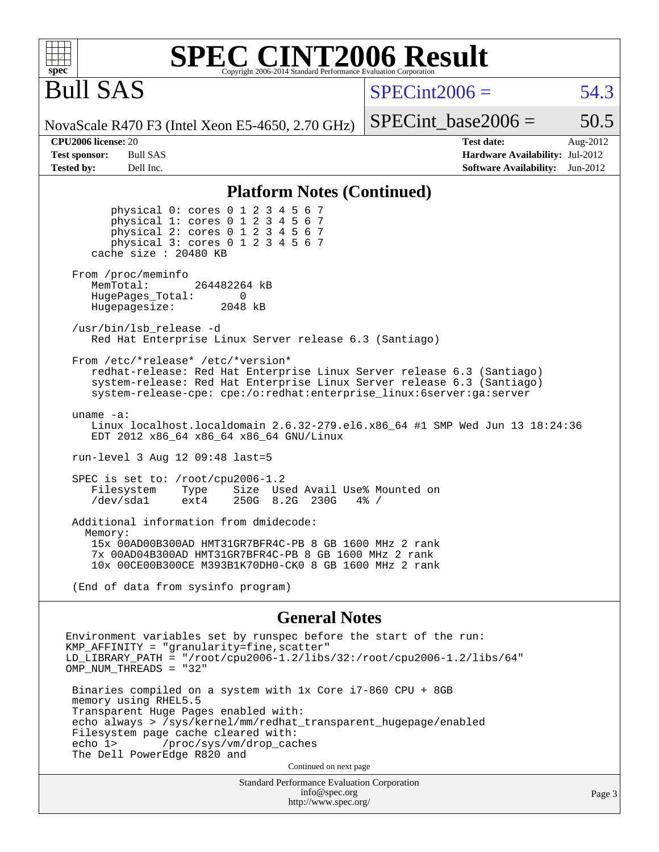Bull SAS

 $SPECint2006 = 54.3$  $SPECint2006 = 54.3$ 

NovaScale R470 F3 (Intel Xeon E5-4650, 2.70 GHz)

SPECint base2006 =  $50.5$ 

**[CPU2006 license:](http://www.spec.org/auto/cpu2006/Docs/result-fields.html#CPU2006license)** 20 **[Test date:](http://www.spec.org/auto/cpu2006/Docs/result-fields.html#Testdate)** Aug-2012 **[Test sponsor:](http://www.spec.org/auto/cpu2006/Docs/result-fields.html#Testsponsor)** Bull SAS **[Hardware Availability:](http://www.spec.org/auto/cpu2006/Docs/result-fields.html#HardwareAvailability)** Jul-2012 **[Tested by:](http://www.spec.org/auto/cpu2006/Docs/result-fields.html#Testedby)** Dell Inc. **[Software Availability:](http://www.spec.org/auto/cpu2006/Docs/result-fields.html#SoftwareAvailability)** Jun-2012

### **[Platform Notes \(Continued\)](http://www.spec.org/auto/cpu2006/Docs/result-fields.html#PlatformNotes)**

 physical 0: cores 0 1 2 3 4 5 6 7 physical 1: cores 0 1 2 3 4 5 6 7 physical 2: cores 0 1 2 3 4 5 6 7 physical 3: cores 0 1 2 3 4 5 6 7 cache size : 20480 KB From /proc/meminfo MemTotal: 264482264 kB HugePages\_Total: 0<br>Hugepagesize: 2048 kB Hugepagesize: /usr/bin/lsb\_release -d Red Hat Enterprise Linux Server release 6.3 (Santiago) From /etc/\*release\* /etc/\*version\* redhat-release: Red Hat Enterprise Linux Server release 6.3 (Santiago) system-release: Red Hat Enterprise Linux Server release 6.3 (Santiago) system-release-cpe: cpe:/o:redhat:enterprise\_linux:6server:ga:server uname -a: Linux localhost.localdomain 2.6.32-279.el6.x86\_64 #1 SMP Wed Jun 13 18:24:36 EDT 2012 x86\_64 x86\_64 x86\_64 GNU/Linux run-level 3 Aug 12 09:48 last=5 SPEC is set to: /root/cpu2006-1.2 Filesystem Type Size Used Avail Use% Mounted on<br>
/dev/sda1 ext4 250G 8.2G 230G 4% / /dev/sda1 ext4 250G 8.2G 230G Additional information from dmidecode: Memory: 15x 00AD00B300AD HMT31GR7BFR4C-PB 8 GB 1600 MHz 2 rank 7x 00AD04B300AD HMT31GR7BFR4C-PB 8 GB 1600 MHz 2 rank 10x 00CE00B300CE M393B1K70DH0-CK0 8 GB 1600 MHz 2 rank

(End of data from sysinfo program)

### **[General Notes](http://www.spec.org/auto/cpu2006/Docs/result-fields.html#GeneralNotes)**

Environment variables set by runspec before the start of the run: KMP\_AFFINITY = "granularity=fine,scatter" LD\_LIBRARY\_PATH = "/root/cpu2006-1.2/libs/32:/root/cpu2006-1.2/libs/64" OMP\_NUM\_THREADS = "32" Binaries compiled on a system with 1x Core i7-860 CPU + 8GB memory using RHEL5.5 Transparent Huge Pages enabled with: echo always > /sys/kernel/mm/redhat\_transparent\_hugepage/enabled Filesystem page cache cleared with:<br>echo 1> /proc/sys/vm/drop cac /proc/sys/vm/drop\_caches The Dell PowerEdge R820 and Continued on next page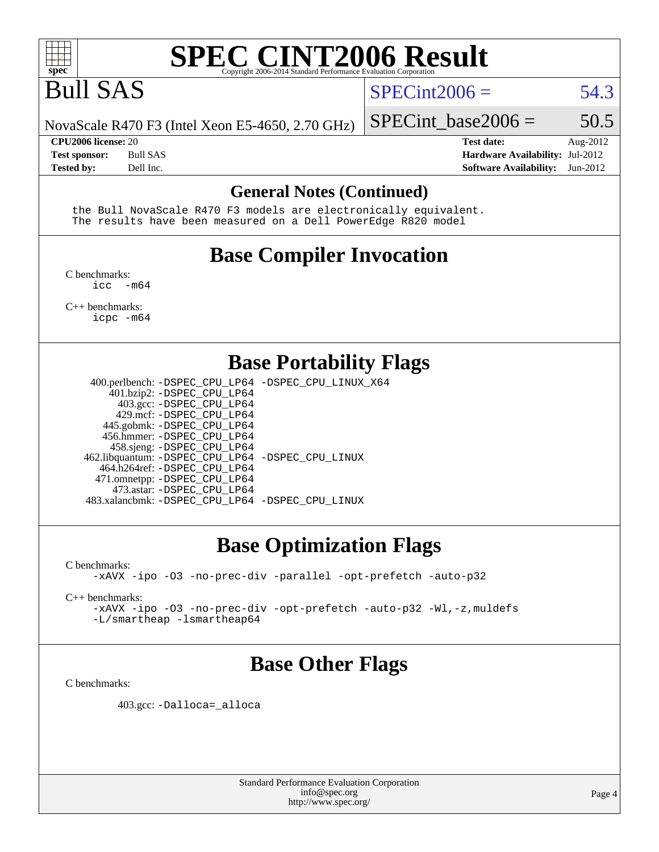

## Bull SAS

### $SPECint2006 = 54.3$  $SPECint2006 = 54.3$

NovaScale R470 F3 (Intel Xeon E5-4650, 2.70 GHz)

**[Tested by:](http://www.spec.org/auto/cpu2006/Docs/result-fields.html#Testedby)** Dell Inc. **[Software Availability:](http://www.spec.org/auto/cpu2006/Docs/result-fields.html#SoftwareAvailability)** Jun-2012

**[CPU2006 license:](http://www.spec.org/auto/cpu2006/Docs/result-fields.html#CPU2006license)** 20 **[Test date:](http://www.spec.org/auto/cpu2006/Docs/result-fields.html#Testdate)** Aug-2012 **[Test sponsor:](http://www.spec.org/auto/cpu2006/Docs/result-fields.html#Testsponsor)** Bull SAS **[Hardware Availability:](http://www.spec.org/auto/cpu2006/Docs/result-fields.html#HardwareAvailability)** Jul-2012

SPECint base2006 =  $50.5$ 

### **[General Notes \(Continued\)](http://www.spec.org/auto/cpu2006/Docs/result-fields.html#GeneralNotes)**

 the Bull NovaScale R470 F3 models are electronically equivalent. The results have been measured on a Dell PowerEdge R820 model

## **[Base Compiler Invocation](http://www.spec.org/auto/cpu2006/Docs/result-fields.html#BaseCompilerInvocation)**

[C benchmarks](http://www.spec.org/auto/cpu2006/Docs/result-fields.html#Cbenchmarks):  $inc - m64$ 

[C++ benchmarks:](http://www.spec.org/auto/cpu2006/Docs/result-fields.html#CXXbenchmarks) [icpc -m64](http://www.spec.org/cpu2006/results/res2012q3/cpu2006-20120814-24238.flags.html#user_CXXbase_intel_icpc_64bit_fc66a5337ce925472a5c54ad6a0de310)

## **[Base Portability Flags](http://www.spec.org/auto/cpu2006/Docs/result-fields.html#BasePortabilityFlags)**

 400.perlbench: [-DSPEC\\_CPU\\_LP64](http://www.spec.org/cpu2006/results/res2012q3/cpu2006-20120814-24238.flags.html#b400.perlbench_basePORTABILITY_DSPEC_CPU_LP64) [-DSPEC\\_CPU\\_LINUX\\_X64](http://www.spec.org/cpu2006/results/res2012q3/cpu2006-20120814-24238.flags.html#b400.perlbench_baseCPORTABILITY_DSPEC_CPU_LINUX_X64) 401.bzip2: [-DSPEC\\_CPU\\_LP64](http://www.spec.org/cpu2006/results/res2012q3/cpu2006-20120814-24238.flags.html#suite_basePORTABILITY401_bzip2_DSPEC_CPU_LP64) 403.gcc: [-DSPEC\\_CPU\\_LP64](http://www.spec.org/cpu2006/results/res2012q3/cpu2006-20120814-24238.flags.html#suite_basePORTABILITY403_gcc_DSPEC_CPU_LP64) 429.mcf: [-DSPEC\\_CPU\\_LP64](http://www.spec.org/cpu2006/results/res2012q3/cpu2006-20120814-24238.flags.html#suite_basePORTABILITY429_mcf_DSPEC_CPU_LP64) 445.gobmk: [-DSPEC\\_CPU\\_LP64](http://www.spec.org/cpu2006/results/res2012q3/cpu2006-20120814-24238.flags.html#suite_basePORTABILITY445_gobmk_DSPEC_CPU_LP64) 456.hmmer: [-DSPEC\\_CPU\\_LP64](http://www.spec.org/cpu2006/results/res2012q3/cpu2006-20120814-24238.flags.html#suite_basePORTABILITY456_hmmer_DSPEC_CPU_LP64) 458.sjeng: [-DSPEC\\_CPU\\_LP64](http://www.spec.org/cpu2006/results/res2012q3/cpu2006-20120814-24238.flags.html#suite_basePORTABILITY458_sjeng_DSPEC_CPU_LP64) 462.libquantum: [-DSPEC\\_CPU\\_LP64](http://www.spec.org/cpu2006/results/res2012q3/cpu2006-20120814-24238.flags.html#suite_basePORTABILITY462_libquantum_DSPEC_CPU_LP64) [-DSPEC\\_CPU\\_LINUX](http://www.spec.org/cpu2006/results/res2012q3/cpu2006-20120814-24238.flags.html#b462.libquantum_baseCPORTABILITY_DSPEC_CPU_LINUX) 464.h264ref: [-DSPEC\\_CPU\\_LP64](http://www.spec.org/cpu2006/results/res2012q3/cpu2006-20120814-24238.flags.html#suite_basePORTABILITY464_h264ref_DSPEC_CPU_LP64) 471.omnetpp: [-DSPEC\\_CPU\\_LP64](http://www.spec.org/cpu2006/results/res2012q3/cpu2006-20120814-24238.flags.html#suite_basePORTABILITY471_omnetpp_DSPEC_CPU_LP64) 473.astar: [-DSPEC\\_CPU\\_LP64](http://www.spec.org/cpu2006/results/res2012q3/cpu2006-20120814-24238.flags.html#suite_basePORTABILITY473_astar_DSPEC_CPU_LP64) 483.xalancbmk: [-DSPEC\\_CPU\\_LP64](http://www.spec.org/cpu2006/results/res2012q3/cpu2006-20120814-24238.flags.html#suite_basePORTABILITY483_xalancbmk_DSPEC_CPU_LP64) [-DSPEC\\_CPU\\_LINUX](http://www.spec.org/cpu2006/results/res2012q3/cpu2006-20120814-24238.flags.html#b483.xalancbmk_baseCXXPORTABILITY_DSPEC_CPU_LINUX)

## **[Base Optimization Flags](http://www.spec.org/auto/cpu2006/Docs/result-fields.html#BaseOptimizationFlags)**

[C benchmarks](http://www.spec.org/auto/cpu2006/Docs/result-fields.html#Cbenchmarks):

[-xAVX](http://www.spec.org/cpu2006/results/res2012q3/cpu2006-20120814-24238.flags.html#user_CCbase_f-xAVX) [-ipo](http://www.spec.org/cpu2006/results/res2012q3/cpu2006-20120814-24238.flags.html#user_CCbase_f-ipo) [-O3](http://www.spec.org/cpu2006/results/res2012q3/cpu2006-20120814-24238.flags.html#user_CCbase_f-O3) [-no-prec-div](http://www.spec.org/cpu2006/results/res2012q3/cpu2006-20120814-24238.flags.html#user_CCbase_f-no-prec-div) [-parallel](http://www.spec.org/cpu2006/results/res2012q3/cpu2006-20120814-24238.flags.html#user_CCbase_f-parallel) [-opt-prefetch](http://www.spec.org/cpu2006/results/res2012q3/cpu2006-20120814-24238.flags.html#user_CCbase_f-opt-prefetch) [-auto-p32](http://www.spec.org/cpu2006/results/res2012q3/cpu2006-20120814-24238.flags.html#user_CCbase_f-auto-p32)

[C++ benchmarks:](http://www.spec.org/auto/cpu2006/Docs/result-fields.html#CXXbenchmarks)

[-xAVX](http://www.spec.org/cpu2006/results/res2012q3/cpu2006-20120814-24238.flags.html#user_CXXbase_f-xAVX) [-ipo](http://www.spec.org/cpu2006/results/res2012q3/cpu2006-20120814-24238.flags.html#user_CXXbase_f-ipo) [-O3](http://www.spec.org/cpu2006/results/res2012q3/cpu2006-20120814-24238.flags.html#user_CXXbase_f-O3) [-no-prec-div](http://www.spec.org/cpu2006/results/res2012q3/cpu2006-20120814-24238.flags.html#user_CXXbase_f-no-prec-div) [-opt-prefetch](http://www.spec.org/cpu2006/results/res2012q3/cpu2006-20120814-24238.flags.html#user_CXXbase_f-opt-prefetch) [-auto-p32](http://www.spec.org/cpu2006/results/res2012q3/cpu2006-20120814-24238.flags.html#user_CXXbase_f-auto-p32) [-Wl,-z,muldefs](http://www.spec.org/cpu2006/results/res2012q3/cpu2006-20120814-24238.flags.html#user_CXXbase_link_force_multiple1_74079c344b956b9658436fd1b6dd3a8a) [-L/smartheap -lsmartheap64](http://www.spec.org/cpu2006/results/res2012q3/cpu2006-20120814-24238.flags.html#user_CXXbase_SmartHeap64_5e654037dadeae1fe403ab4b4466e60b)

## **[Base Other Flags](http://www.spec.org/auto/cpu2006/Docs/result-fields.html#BaseOtherFlags)**

[C benchmarks](http://www.spec.org/auto/cpu2006/Docs/result-fields.html#Cbenchmarks):

403.gcc: [-Dalloca=\\_alloca](http://www.spec.org/cpu2006/results/res2012q3/cpu2006-20120814-24238.flags.html#b403.gcc_baseEXTRA_CFLAGS_Dalloca_be3056838c12de2578596ca5467af7f3)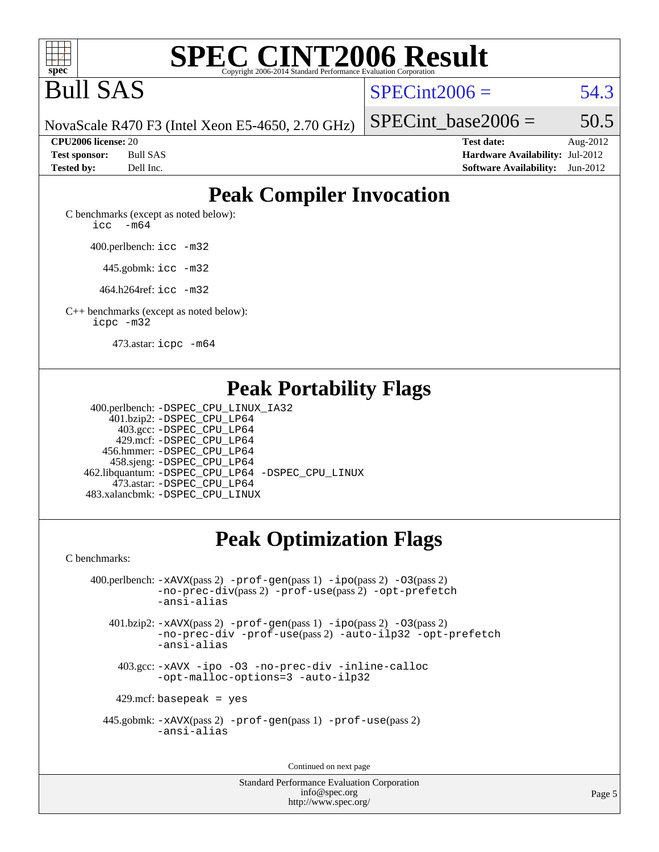

Bull SAS

 $SPECint2006 = 54.3$  $SPECint2006 = 54.3$ 

NovaScale R470 F3 (Intel Xeon E5-4650, 2.70 GHz)

SPECint base2006 =  $50.5$ 

**[CPU2006 license:](http://www.spec.org/auto/cpu2006/Docs/result-fields.html#CPU2006license)** 20 **[Test date:](http://www.spec.org/auto/cpu2006/Docs/result-fields.html#Testdate)** Aug-2012 **[Test sponsor:](http://www.spec.org/auto/cpu2006/Docs/result-fields.html#Testsponsor)** Bull SAS **[Hardware Availability:](http://www.spec.org/auto/cpu2006/Docs/result-fields.html#HardwareAvailability)** Jul-2012 **[Tested by:](http://www.spec.org/auto/cpu2006/Docs/result-fields.html#Testedby)** Dell Inc. **[Software Availability:](http://www.spec.org/auto/cpu2006/Docs/result-fields.html#SoftwareAvailability)** Jun-2012

## **[Peak Compiler Invocation](http://www.spec.org/auto/cpu2006/Docs/result-fields.html#PeakCompilerInvocation)**

[C benchmarks \(except as noted below\)](http://www.spec.org/auto/cpu2006/Docs/result-fields.html#Cbenchmarksexceptasnotedbelow): [icc -m64](http://www.spec.org/cpu2006/results/res2012q3/cpu2006-20120814-24238.flags.html#user_CCpeak_intel_icc_64bit_f346026e86af2a669e726fe758c88044)

400.perlbench: [icc -m32](http://www.spec.org/cpu2006/results/res2012q3/cpu2006-20120814-24238.flags.html#user_peakCCLD400_perlbench_intel_icc_a6a621f8d50482236b970c6ac5f55f93)

445.gobmk: [icc -m32](http://www.spec.org/cpu2006/results/res2012q3/cpu2006-20120814-24238.flags.html#user_peakCCLD445_gobmk_intel_icc_a6a621f8d50482236b970c6ac5f55f93)

464.h264ref: [icc -m32](http://www.spec.org/cpu2006/results/res2012q3/cpu2006-20120814-24238.flags.html#user_peakCCLD464_h264ref_intel_icc_a6a621f8d50482236b970c6ac5f55f93)

[C++ benchmarks \(except as noted below\):](http://www.spec.org/auto/cpu2006/Docs/result-fields.html#CXXbenchmarksexceptasnotedbelow) [icpc -m32](http://www.spec.org/cpu2006/results/res2012q3/cpu2006-20120814-24238.flags.html#user_CXXpeak_intel_icpc_4e5a5ef1a53fd332b3c49e69c3330699)

473.astar: [icpc -m64](http://www.spec.org/cpu2006/results/res2012q3/cpu2006-20120814-24238.flags.html#user_peakCXXLD473_astar_intel_icpc_64bit_fc66a5337ce925472a5c54ad6a0de310)

## **[Peak Portability Flags](http://www.spec.org/auto/cpu2006/Docs/result-fields.html#PeakPortabilityFlags)**

 400.perlbench: [-DSPEC\\_CPU\\_LINUX\\_IA32](http://www.spec.org/cpu2006/results/res2012q3/cpu2006-20120814-24238.flags.html#b400.perlbench_peakCPORTABILITY_DSPEC_CPU_LINUX_IA32) 401.bzip2: [-DSPEC\\_CPU\\_LP64](http://www.spec.org/cpu2006/results/res2012q3/cpu2006-20120814-24238.flags.html#suite_peakPORTABILITY401_bzip2_DSPEC_CPU_LP64) 403.gcc: [-DSPEC\\_CPU\\_LP64](http://www.spec.org/cpu2006/results/res2012q3/cpu2006-20120814-24238.flags.html#suite_peakPORTABILITY403_gcc_DSPEC_CPU_LP64) 429.mcf: [-DSPEC\\_CPU\\_LP64](http://www.spec.org/cpu2006/results/res2012q3/cpu2006-20120814-24238.flags.html#suite_peakPORTABILITY429_mcf_DSPEC_CPU_LP64) 456.hmmer: [-DSPEC\\_CPU\\_LP64](http://www.spec.org/cpu2006/results/res2012q3/cpu2006-20120814-24238.flags.html#suite_peakPORTABILITY456_hmmer_DSPEC_CPU_LP64) 458.sjeng: [-DSPEC\\_CPU\\_LP64](http://www.spec.org/cpu2006/results/res2012q3/cpu2006-20120814-24238.flags.html#suite_peakPORTABILITY458_sjeng_DSPEC_CPU_LP64) 462.libquantum: [-DSPEC\\_CPU\\_LP64](http://www.spec.org/cpu2006/results/res2012q3/cpu2006-20120814-24238.flags.html#suite_peakPORTABILITY462_libquantum_DSPEC_CPU_LP64) [-DSPEC\\_CPU\\_LINUX](http://www.spec.org/cpu2006/results/res2012q3/cpu2006-20120814-24238.flags.html#b462.libquantum_peakCPORTABILITY_DSPEC_CPU_LINUX) 473.astar: [-DSPEC\\_CPU\\_LP64](http://www.spec.org/cpu2006/results/res2012q3/cpu2006-20120814-24238.flags.html#suite_peakPORTABILITY473_astar_DSPEC_CPU_LP64) 483.xalancbmk: [-DSPEC\\_CPU\\_LINUX](http://www.spec.org/cpu2006/results/res2012q3/cpu2006-20120814-24238.flags.html#b483.xalancbmk_peakCXXPORTABILITY_DSPEC_CPU_LINUX)

## **[Peak Optimization Flags](http://www.spec.org/auto/cpu2006/Docs/result-fields.html#PeakOptimizationFlags)**

[C benchmarks](http://www.spec.org/auto/cpu2006/Docs/result-fields.html#Cbenchmarks):

 400.perlbench: [-xAVX](http://www.spec.org/cpu2006/results/res2012q3/cpu2006-20120814-24238.flags.html#user_peakPASS2_CFLAGSPASS2_LDCFLAGS400_perlbench_f-xAVX)(pass 2) [-prof-gen](http://www.spec.org/cpu2006/results/res2012q3/cpu2006-20120814-24238.flags.html#user_peakPASS1_CFLAGSPASS1_LDCFLAGS400_perlbench_prof_gen_e43856698f6ca7b7e442dfd80e94a8fc)(pass 1) [-ipo](http://www.spec.org/cpu2006/results/res2012q3/cpu2006-20120814-24238.flags.html#user_peakPASS2_CFLAGSPASS2_LDCFLAGS400_perlbench_f-ipo)(pass 2) [-O3](http://www.spec.org/cpu2006/results/res2012q3/cpu2006-20120814-24238.flags.html#user_peakPASS2_CFLAGSPASS2_LDCFLAGS400_perlbench_f-O3)(pass 2) [-no-prec-div](http://www.spec.org/cpu2006/results/res2012q3/cpu2006-20120814-24238.flags.html#user_peakPASS2_CFLAGSPASS2_LDCFLAGS400_perlbench_f-no-prec-div)(pass 2) [-prof-use](http://www.spec.org/cpu2006/results/res2012q3/cpu2006-20120814-24238.flags.html#user_peakPASS2_CFLAGSPASS2_LDCFLAGS400_perlbench_prof_use_bccf7792157ff70d64e32fe3e1250b55)(pass 2) [-opt-prefetch](http://www.spec.org/cpu2006/results/res2012q3/cpu2006-20120814-24238.flags.html#user_peakCOPTIMIZE400_perlbench_f-opt-prefetch) [-ansi-alias](http://www.spec.org/cpu2006/results/res2012q3/cpu2006-20120814-24238.flags.html#user_peakCOPTIMIZE400_perlbench_f-ansi-alias) 401.bzip2: [-xAVX](http://www.spec.org/cpu2006/results/res2012q3/cpu2006-20120814-24238.flags.html#user_peakPASS2_CFLAGSPASS2_LDCFLAGS401_bzip2_f-xAVX)(pass 2) [-prof-gen](http://www.spec.org/cpu2006/results/res2012q3/cpu2006-20120814-24238.flags.html#user_peakPASS1_CFLAGSPASS1_LDCFLAGS401_bzip2_prof_gen_e43856698f6ca7b7e442dfd80e94a8fc)(pass 1) [-ipo](http://www.spec.org/cpu2006/results/res2012q3/cpu2006-20120814-24238.flags.html#user_peakPASS2_CFLAGSPASS2_LDCFLAGS401_bzip2_f-ipo)(pass 2) [-O3](http://www.spec.org/cpu2006/results/res2012q3/cpu2006-20120814-24238.flags.html#user_peakPASS2_CFLAGSPASS2_LDCFLAGS401_bzip2_f-O3)(pass 2) [-no-prec-div](http://www.spec.org/cpu2006/results/res2012q3/cpu2006-20120814-24238.flags.html#user_peakCOPTIMIZEPASS2_CFLAGSPASS2_LDCFLAGS401_bzip2_f-no-prec-div) [-prof-use](http://www.spec.org/cpu2006/results/res2012q3/cpu2006-20120814-24238.flags.html#user_peakPASS2_CFLAGSPASS2_LDCFLAGS401_bzip2_prof_use_bccf7792157ff70d64e32fe3e1250b55)(pass 2) [-auto-ilp32](http://www.spec.org/cpu2006/results/res2012q3/cpu2006-20120814-24238.flags.html#user_peakCOPTIMIZE401_bzip2_f-auto-ilp32) [-opt-prefetch](http://www.spec.org/cpu2006/results/res2012q3/cpu2006-20120814-24238.flags.html#user_peakCOPTIMIZE401_bzip2_f-opt-prefetch) [-ansi-alias](http://www.spec.org/cpu2006/results/res2012q3/cpu2006-20120814-24238.flags.html#user_peakCOPTIMIZE401_bzip2_f-ansi-alias) 403.gcc: [-xAVX](http://www.spec.org/cpu2006/results/res2012q3/cpu2006-20120814-24238.flags.html#user_peakCOPTIMIZE403_gcc_f-xAVX) [-ipo](http://www.spec.org/cpu2006/results/res2012q3/cpu2006-20120814-24238.flags.html#user_peakCOPTIMIZE403_gcc_f-ipo) [-O3](http://www.spec.org/cpu2006/results/res2012q3/cpu2006-20120814-24238.flags.html#user_peakCOPTIMIZE403_gcc_f-O3) [-no-prec-div](http://www.spec.org/cpu2006/results/res2012q3/cpu2006-20120814-24238.flags.html#user_peakCOPTIMIZE403_gcc_f-no-prec-div) [-inline-calloc](http://www.spec.org/cpu2006/results/res2012q3/cpu2006-20120814-24238.flags.html#user_peakCOPTIMIZE403_gcc_f-inline-calloc)

[-opt-malloc-options=3](http://www.spec.org/cpu2006/results/res2012q3/cpu2006-20120814-24238.flags.html#user_peakCOPTIMIZE403_gcc_f-opt-malloc-options_13ab9b803cf986b4ee62f0a5998c2238) [-auto-ilp32](http://www.spec.org/cpu2006/results/res2012q3/cpu2006-20120814-24238.flags.html#user_peakCOPTIMIZE403_gcc_f-auto-ilp32)

 $429$ .mcf: basepeak = yes

 445.gobmk: [-xAVX](http://www.spec.org/cpu2006/results/res2012q3/cpu2006-20120814-24238.flags.html#user_peakPASS2_CFLAGSPASS2_LDCFLAGS445_gobmk_f-xAVX)(pass 2) [-prof-gen](http://www.spec.org/cpu2006/results/res2012q3/cpu2006-20120814-24238.flags.html#user_peakPASS1_CFLAGSPASS1_LDCFLAGS445_gobmk_prof_gen_e43856698f6ca7b7e442dfd80e94a8fc)(pass 1) [-prof-use](http://www.spec.org/cpu2006/results/res2012q3/cpu2006-20120814-24238.flags.html#user_peakPASS2_CFLAGSPASS2_LDCFLAGS445_gobmk_prof_use_bccf7792157ff70d64e32fe3e1250b55)(pass 2) [-ansi-alias](http://www.spec.org/cpu2006/results/res2012q3/cpu2006-20120814-24238.flags.html#user_peakCOPTIMIZE445_gobmk_f-ansi-alias)

Continued on next page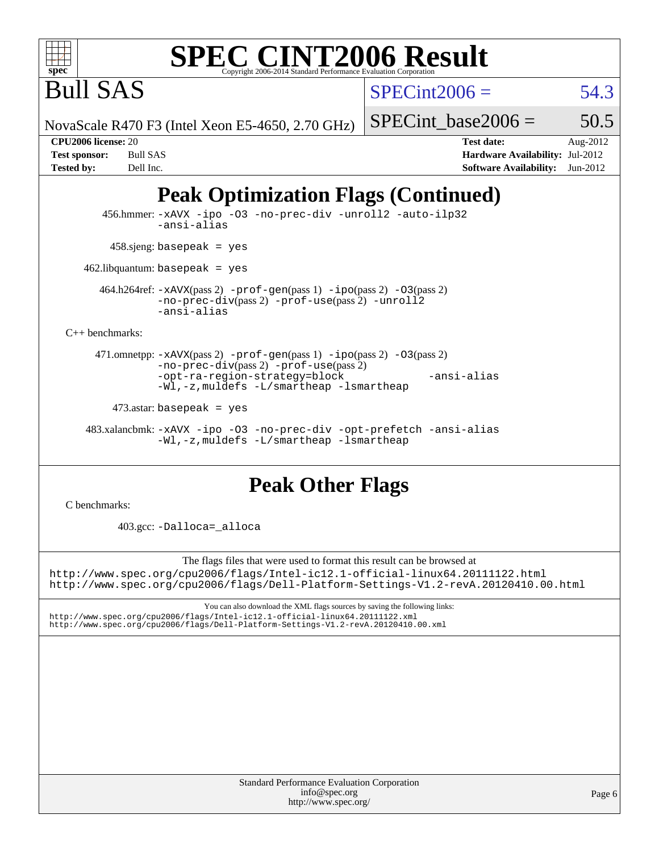

 $SPECint2006 = 54.3$  $SPECint2006 = 54.3$ 

NovaScale R470 F3 (Intel Xeon E5-4650, 2.70 GHz)

SPECint base2006 =  $50.5$ 

Bull SAS

**[Tested by:](http://www.spec.org/auto/cpu2006/Docs/result-fields.html#Testedby)** Dell Inc. **[Software Availability:](http://www.spec.org/auto/cpu2006/Docs/result-fields.html#SoftwareAvailability)** Jun-2012

**[CPU2006 license:](http://www.spec.org/auto/cpu2006/Docs/result-fields.html#CPU2006license)** 20 **[Test date:](http://www.spec.org/auto/cpu2006/Docs/result-fields.html#Testdate)** Aug-2012 **[Test sponsor:](http://www.spec.org/auto/cpu2006/Docs/result-fields.html#Testsponsor)** Bull SAS **[Hardware Availability:](http://www.spec.org/auto/cpu2006/Docs/result-fields.html#HardwareAvailability)** Jul-2012

## **[Peak Optimization Flags \(Continued\)](http://www.spec.org/auto/cpu2006/Docs/result-fields.html#PeakOptimizationFlags)**

 456.hmmer: [-xAVX](http://www.spec.org/cpu2006/results/res2012q3/cpu2006-20120814-24238.flags.html#user_peakCOPTIMIZE456_hmmer_f-xAVX) [-ipo](http://www.spec.org/cpu2006/results/res2012q3/cpu2006-20120814-24238.flags.html#user_peakCOPTIMIZE456_hmmer_f-ipo) [-O3](http://www.spec.org/cpu2006/results/res2012q3/cpu2006-20120814-24238.flags.html#user_peakCOPTIMIZE456_hmmer_f-O3) [-no-prec-div](http://www.spec.org/cpu2006/results/res2012q3/cpu2006-20120814-24238.flags.html#user_peakCOPTIMIZE456_hmmer_f-no-prec-div) [-unroll2](http://www.spec.org/cpu2006/results/res2012q3/cpu2006-20120814-24238.flags.html#user_peakCOPTIMIZE456_hmmer_f-unroll_784dae83bebfb236979b41d2422d7ec2) [-auto-ilp32](http://www.spec.org/cpu2006/results/res2012q3/cpu2006-20120814-24238.flags.html#user_peakCOPTIMIZE456_hmmer_f-auto-ilp32) [-ansi-alias](http://www.spec.org/cpu2006/results/res2012q3/cpu2006-20120814-24238.flags.html#user_peakCOPTIMIZE456_hmmer_f-ansi-alias)  $458 \text{.}$ sjeng: basepeak = yes 462.libquantum: basepeak = yes 464.h264ref: [-xAVX](http://www.spec.org/cpu2006/results/res2012q3/cpu2006-20120814-24238.flags.html#user_peakPASS2_CFLAGSPASS2_LDCFLAGS464_h264ref_f-xAVX)(pass 2) [-prof-gen](http://www.spec.org/cpu2006/results/res2012q3/cpu2006-20120814-24238.flags.html#user_peakPASS1_CFLAGSPASS1_LDCFLAGS464_h264ref_prof_gen_e43856698f6ca7b7e442dfd80e94a8fc)(pass 1) [-ipo](http://www.spec.org/cpu2006/results/res2012q3/cpu2006-20120814-24238.flags.html#user_peakPASS2_CFLAGSPASS2_LDCFLAGS464_h264ref_f-ipo)(pass 2) [-O3](http://www.spec.org/cpu2006/results/res2012q3/cpu2006-20120814-24238.flags.html#user_peakPASS2_CFLAGSPASS2_LDCFLAGS464_h264ref_f-O3)(pass 2) [-no-prec-div](http://www.spec.org/cpu2006/results/res2012q3/cpu2006-20120814-24238.flags.html#user_peakPASS2_CFLAGSPASS2_LDCFLAGS464_h264ref_f-no-prec-div)(pass 2) [-prof-use](http://www.spec.org/cpu2006/results/res2012q3/cpu2006-20120814-24238.flags.html#user_peakPASS2_CFLAGSPASS2_LDCFLAGS464_h264ref_prof_use_bccf7792157ff70d64e32fe3e1250b55)(pass 2) [-unroll2](http://www.spec.org/cpu2006/results/res2012q3/cpu2006-20120814-24238.flags.html#user_peakCOPTIMIZE464_h264ref_f-unroll_784dae83bebfb236979b41d2422d7ec2) [-ansi-alias](http://www.spec.org/cpu2006/results/res2012q3/cpu2006-20120814-24238.flags.html#user_peakCOPTIMIZE464_h264ref_f-ansi-alias) [C++ benchmarks:](http://www.spec.org/auto/cpu2006/Docs/result-fields.html#CXXbenchmarks) 471.omnetpp: [-xAVX](http://www.spec.org/cpu2006/results/res2012q3/cpu2006-20120814-24238.flags.html#user_peakPASS2_CXXFLAGSPASS2_LDCXXFLAGS471_omnetpp_f-xAVX)(pass 2) [-prof-gen](http://www.spec.org/cpu2006/results/res2012q3/cpu2006-20120814-24238.flags.html#user_peakPASS1_CXXFLAGSPASS1_LDCXXFLAGS471_omnetpp_prof_gen_e43856698f6ca7b7e442dfd80e94a8fc)(pass 1) [-ipo](http://www.spec.org/cpu2006/results/res2012q3/cpu2006-20120814-24238.flags.html#user_peakPASS2_CXXFLAGSPASS2_LDCXXFLAGS471_omnetpp_f-ipo)(pass 2) [-O3](http://www.spec.org/cpu2006/results/res2012q3/cpu2006-20120814-24238.flags.html#user_peakPASS2_CXXFLAGSPASS2_LDCXXFLAGS471_omnetpp_f-O3)(pass 2) [-no-prec-div](http://www.spec.org/cpu2006/results/res2012q3/cpu2006-20120814-24238.flags.html#user_peakPASS2_CXXFLAGSPASS2_LDCXXFLAGS471_omnetpp_f-no-prec-div)(pass 2) [-prof-use](http://www.spec.org/cpu2006/results/res2012q3/cpu2006-20120814-24238.flags.html#user_peakPASS2_CXXFLAGSPASS2_LDCXXFLAGS471_omnetpp_prof_use_bccf7792157ff70d64e32fe3e1250b55)(pass 2) [-opt-ra-region-strategy=block](http://www.spec.org/cpu2006/results/res2012q3/cpu2006-20120814-24238.flags.html#user_peakCXXOPTIMIZE471_omnetpp_f-opt-ra-region-strategy_5382940c29ea30302d682fc74bfe0147) [-ansi-alias](http://www.spec.org/cpu2006/results/res2012q3/cpu2006-20120814-24238.flags.html#user_peakCXXOPTIMIZE471_omnetpp_f-ansi-alias) [-Wl,-z,muldefs](http://www.spec.org/cpu2006/results/res2012q3/cpu2006-20120814-24238.flags.html#user_peakEXTRA_LDFLAGS471_omnetpp_link_force_multiple1_74079c344b956b9658436fd1b6dd3a8a) [-L/smartheap -lsmartheap](http://www.spec.org/cpu2006/results/res2012q3/cpu2006-20120814-24238.flags.html#user_peakEXTRA_LIBS471_omnetpp_SmartHeap_7c9e394a5779e1a7fec7c221e123830c)  $473$ .astar: basepeak = yes

 483.xalancbmk: [-xAVX](http://www.spec.org/cpu2006/results/res2012q3/cpu2006-20120814-24238.flags.html#user_peakCXXOPTIMIZE483_xalancbmk_f-xAVX) [-ipo](http://www.spec.org/cpu2006/results/res2012q3/cpu2006-20120814-24238.flags.html#user_peakCXXOPTIMIZE483_xalancbmk_f-ipo) [-O3](http://www.spec.org/cpu2006/results/res2012q3/cpu2006-20120814-24238.flags.html#user_peakCXXOPTIMIZE483_xalancbmk_f-O3) [-no-prec-div](http://www.spec.org/cpu2006/results/res2012q3/cpu2006-20120814-24238.flags.html#user_peakCXXOPTIMIZE483_xalancbmk_f-no-prec-div) [-opt-prefetch](http://www.spec.org/cpu2006/results/res2012q3/cpu2006-20120814-24238.flags.html#user_peakCXXOPTIMIZE483_xalancbmk_f-opt-prefetch) [-ansi-alias](http://www.spec.org/cpu2006/results/res2012q3/cpu2006-20120814-24238.flags.html#user_peakCXXOPTIMIZE483_xalancbmk_f-ansi-alias) [-Wl,-z,muldefs](http://www.spec.org/cpu2006/results/res2012q3/cpu2006-20120814-24238.flags.html#user_peakEXTRA_LDFLAGS483_xalancbmk_link_force_multiple1_74079c344b956b9658436fd1b6dd3a8a) [-L/smartheap -lsmartheap](http://www.spec.org/cpu2006/results/res2012q3/cpu2006-20120814-24238.flags.html#user_peakEXTRA_LIBS483_xalancbmk_SmartHeap_7c9e394a5779e1a7fec7c221e123830c)

## **[Peak Other Flags](http://www.spec.org/auto/cpu2006/Docs/result-fields.html#PeakOtherFlags)**

[C benchmarks](http://www.spec.org/auto/cpu2006/Docs/result-fields.html#Cbenchmarks):

403.gcc: [-Dalloca=\\_alloca](http://www.spec.org/cpu2006/results/res2012q3/cpu2006-20120814-24238.flags.html#b403.gcc_peakEXTRA_CFLAGS_Dalloca_be3056838c12de2578596ca5467af7f3)

The flags files that were used to format this result can be browsed at <http://www.spec.org/cpu2006/flags/Intel-ic12.1-official-linux64.20111122.html> <http://www.spec.org/cpu2006/flags/Dell-Platform-Settings-V1.2-revA.20120410.00.html>

You can also download the XML flags sources by saving the following links: <http://www.spec.org/cpu2006/flags/Intel-ic12.1-official-linux64.20111122.xml> <http://www.spec.org/cpu2006/flags/Dell-Platform-Settings-V1.2-revA.20120410.00.xml>